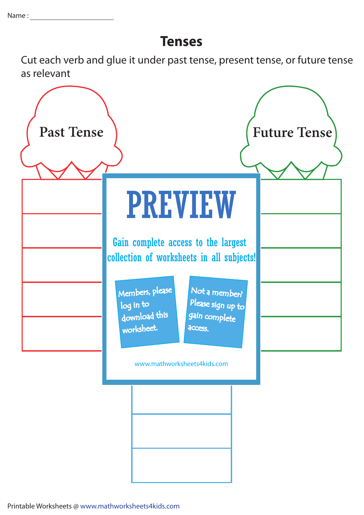## **Tenses**

Cut each verb and glue it under past tense, present tense, or future tense as relevant



Printable Worksheets @ www.mathworksheets4kids.com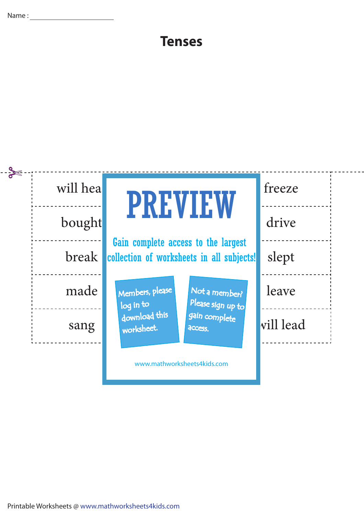$\overline{a}$ 

## **Tenses**

 $-$  - - - - -

|  | will hea     | <b>PREVIEW</b>                                                                   | freeze    |
|--|--------------|----------------------------------------------------------------------------------|-----------|
|  | bought       |                                                                                  | drive     |
|  | <b>break</b> | Gain complete access to the largest<br>collection of worksheets in all subjects! | slept     |
|  | made         | Members, please<br>Not a member?<br>Please sign up to<br>log in to               | leave     |
|  | sang         | download this<br>gain complete<br>worksheet.<br>access.                          | vill lead |
|  |              | www.mathworksheets4kids.com                                                      |           |